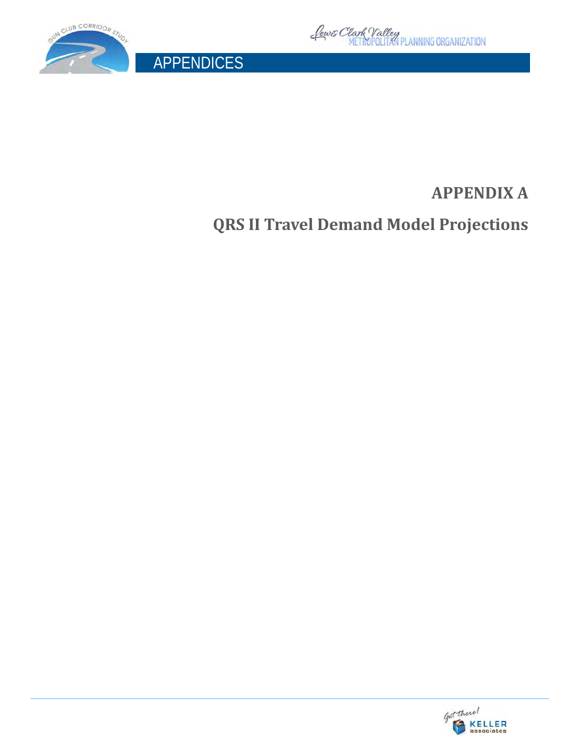

APPENDICES



## **APPENDIX A**

**QRS II Travel Demand Model Projections**